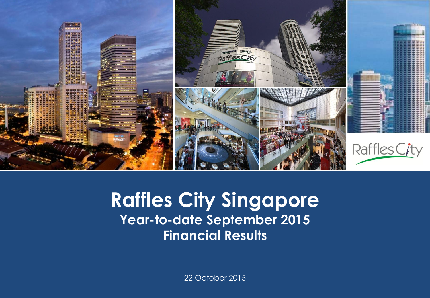

#### **Capital Raffles City Singapore Presentation Presentation Temples September 2015 Financial Results**

22 October 2015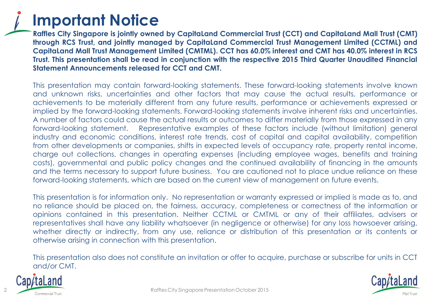

**Raffles City Singapore is jointly owned by CapitaLand Commercial Trust (CCT) and CapitaLand Mall Trust (CMT) through RCS Trust, and jointly managed by CapitaLand Commercial Trust Management Limited (CCTML) and** Capitaland Mall Trust Management Limited (CMTML). CCT has 60.0% interest and CMT has 40.0% interest in RCS **Trust. This presentation shall be read in conjunction with the respective 2015 Third Quarter Unaudited Financial Statement Announcements released for CCT and CMT.**

This presentation may contain forward-looking statements. These forward-looking statements involve known and unknown risks, uncertainties and other factors that may cause the actual results, performance or achievements to be materially different from any future results, performance or achievements expressed or implied by the forward-looking statements. Forward-looking statements involve inherent risks and uncertainties. A number of factors could cause the actual results or outcomes to differ materially from those expressed in any forward-looking statement. Representative examples of these factors include (without limitation) general industry and economic conditions, interest rate trends, cost of capital and capital availability, competition from other developments or companies, shifts in expected levels of occupancy rate, property rental income, charge out collections, changes in operating expenses (including employee wages, benefits and training costs), governmental and public policy changes and the continued availability of financing in the amounts and the terms necessary to support future business. You are cautioned not to place undue reliance on these forward-looking statements, which are based on the current view of management on future events.

This presentation is for information only. No representation or warranty expressed or implied is made as to, and no reliance should be placed on, the fairness, accuracy, completeness or correctness of the information or opinions contained in this presentation. Neither CCTML or CMTML or any of their affiliates, advisers or representatives shall have any liability whatsoever (in negligence or otherwise) for any loss howsoever arising, whether directly or indirectly, from any use, reliance or distribution of this presentation or its contents or otherwise arising in connection with this presentation.

This presentation also does not constitute an invitation or offer to acquire, purchase or subscribe for units in CCT and/or CMT.



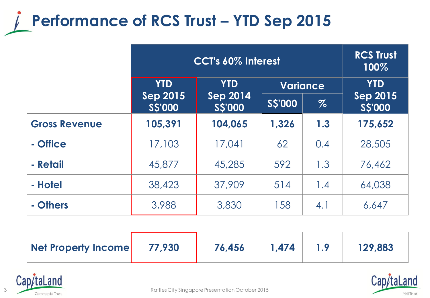## **Performance of RCS Trust – YTD Sep 2015**

|                      | CCT's 60% Interest               |                                          |                 |      | <b>RCS Trust</b><br>100%         |
|----------------------|----------------------------------|------------------------------------------|-----------------|------|----------------------------------|
|                      | <b>YTD</b>                       | <b>YTD</b><br><b>Sep 2014</b><br>S\$'000 | <b>Variance</b> |      | <b>YTD</b>                       |
|                      | <b>Sep 2015</b><br><b>SS'000</b> |                                          | <b>SS'000</b>   | $\%$ | <b>Sep 2015</b><br><b>SS'000</b> |
| <b>Gross Revenue</b> | 105,391                          | 104,065                                  | 1,326           | 1.3  | 175,652                          |
| - Office             | 17,103                           | 17,041                                   | 62              | 0.4  | 28,505                           |
| - Retail             | 45,877                           | 45,285                                   | 592             | 1.3  | 76,462                           |
| - Hotel              | 38,423                           | 37,909                                   | 514             | 1.4  | 64,038                           |
| - Others             | 3,988                            | 3,830                                    | 158             | 4.1  | 6,647                            |

| Net Property Income | 77,930 | 76,456 | 1.474 | 129,883 |
|---------------------|--------|--------|-------|---------|
|                     |        |        |       |         |



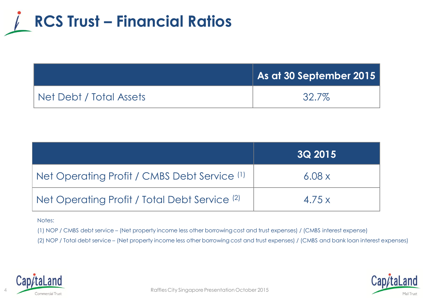

|                         | As at 30 September 2015 |
|-------------------------|-------------------------|
| Net Debt / Total Assets | 32.7%                   |

|                                                          | <b>3Q 2015</b> |
|----------------------------------------------------------|----------------|
| Net Operating Profit / CMBS Debt Service (1)             | 6.08x          |
| Net Operating Profit / Total Debt Service <sup>(2)</sup> | 4.75x          |

#### Notes:

(1) NOP / CMBS debt service – (Net property income less other borrowing cost and trust expenses) / (CMBS interest expense)

(2) NOP / Total debt service – (Net property income less other borrowing cost and trust expenses) / (CMBS and bank loan interest expenses)



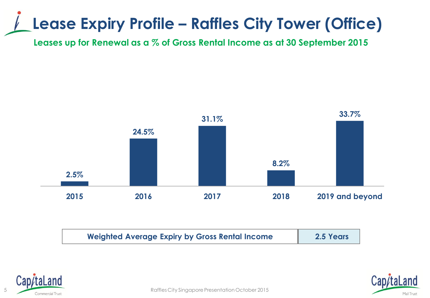### **Lease Expiry Profile – Raffles City Tower (Office)**

**Leases up for Renewal as a % of Gross Rental Income as at 30 September 2015**



| <b>Weighted Average Expiry by Gross Rental Income</b> | 2.5 Years |
|-------------------------------------------------------|-----------|
|                                                       |           |





5 **Commercial Trust**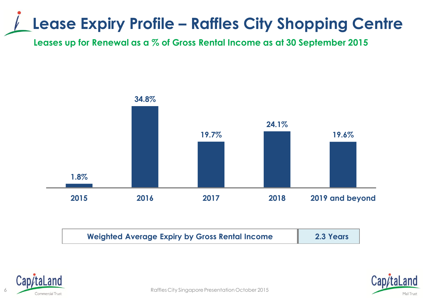## **Lease Expiry Profile – Raffles City Shopping Centre**

**Leases up for Renewal as a % of Gross Rental Income as at 30 September 2015**







Raffles City Singapore Presentation October 2015